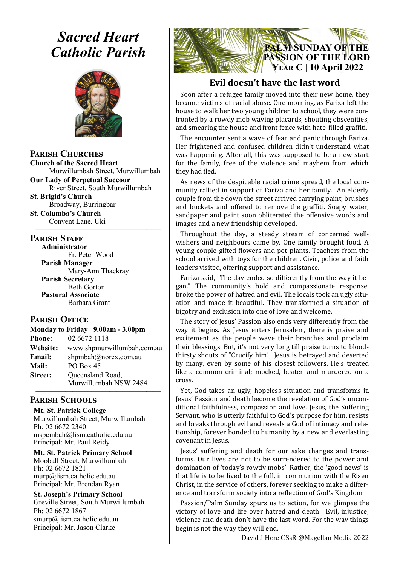# *Sacred Heart Catholic Parish*



**Parish Churches**

**Church of the Sacred Heart** Murwillumbah Street, Murwillumbah

**Our Lady of Perpetual Succour** River Street, South Murwillumbah

**St. Brigid's Church** Broadway, Burringbar **St. Columba's Church**

Convent Lane, Uki —————————————————

#### **PARISH STAFF**

**Administrator** Fr. Peter Wood **Parish Manager** Mary-Ann Thackray **Parish Secretary** Beth Gorton **Pastoral Associate** Barbara Grant

#### **Parish Office**

|                | Monday to Friday 9.00am - 3.00pm          |
|----------------|-------------------------------------------|
| <b>Phone:</b>  | 02 6672 1118                              |
| Website:       | www.shpmurwillumbah.com.au                |
| Email:         | shpmbah@norex.com.au                      |
| <b>Mail:</b>   | PO Box 45                                 |
| <b>Street:</b> | Queensland Road,<br>Murwillumbah NSW 2484 |
|                |                                           |

—————————————————

#### **Parish Schools**

**Mt. St. Patrick College** Murwillumbah Street, Murwillumbah Ph: 02 6672 2340 mspcmbah@lism.catholic.edu.au Principal: Mr. Paul Reidy

**Mt. St. Patrick Primary School** Mooball Street, Murwillumbah Ph: 02 6672 1821 murp@lism.catholic.edu.au Principal: Mr. Brendan Ryan

**St. Joseph's Primary School** Greville Street, South Murwillumbah Ph: 02 6672 1867 smurp@lism.catholic.edu.au Principal: Mr. Jason Clarke

# **PALM SUNDAY OF THE PASSION OF THE LORD |Year C | 10 April 2022**

#### **Evil doesn't have the last word**

Soon after a refugee family moved into their new home, they became victims of racial abuse. One morning, as Fariza left the house to walk her two young children to school, they were confronted by a rowdy mob waving placards, shouting obscenities, and smearing the house and front fence with hate-filled graffiti.

The encounter sent a wave of fear and panic through Fariza. Her frightened and confused children didn't understand what was happening. After all, this was supposed to be a new start for the family, free of the violence and mayhem from which they had fled.

As news of the despicable racial crime spread, the local community rallied in support of Fariza and her family. An elderly couple from the down the street arrived carrying paint, brushes and buckets and offered to remove the graffiti. Soapy water, sandpaper and paint soon obliterated the offensive words and images and a new friendship developed.

Throughout the day, a steady stream of concerned wellwishers and neighbours came by. One family brought food. A young couple gifted flowers and pot-plants. Teachers from the school arrived with toys for the children. Civic, police and faith leaders visited, offering support and assistance.

Fariza said, "The day ended so differently from the way it began." The community's bold and compassionate response, broke the power of hatred and evil. The locals took an ugly situation and made it beautiful. They transformed a situation of bigotry and exclusion into one of love and welcome.

The story of Jesus' Passion also ends very differently from the way it begins. As Jesus enters Jerusalem, there is praise and excitement as the people wave their branches and proclaim their blessings. But, it's not very long till praise turns to bloodthirsty shouts of "Crucify him!" Jesus is betrayed and deserted by many, even by some of his closest followers. He's treated like a common criminal; mocked, beaten and murdered on a cross.

Yet, God takes an ugly, hopeless situation and transforms it. Jesus' Passion and death become the revelation of God's unconditional faithfulness, compassion and love. Jesus, the Suffering Servant, who is utterly faithful to God's purpose for him, resists and breaks through evil and reveals a God of intimacy and relationship, forever bonded to humanity by a new and everlasting covenant in Jesus.

Jesus' suffering and death for our sake changes and transforms. Our lives are not to be surrendered to the power and domination of 'today's rowdy mobs'. Rather, the 'good news' is that life is to be lived to the full, in communion with the Risen Christ, in the service of others, forever seeking to make a difference and transform society into a reflection of God's Kingdom.

Passion/Palm Sunday spurs us to action, for we glimpse the victory of love and life over hatred and death. Evil, injustice, violence and death don't have the last word. For the way things begin is not the way they will end.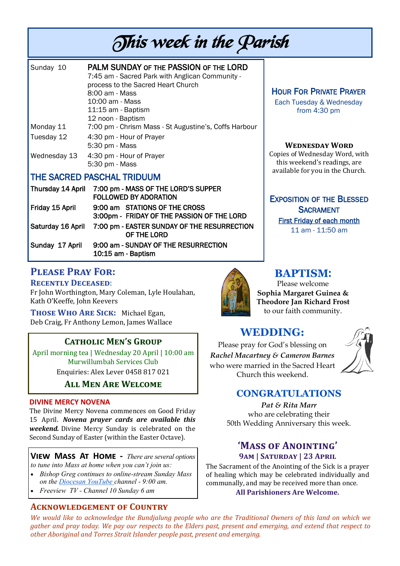# This week in the Parish

| Sunday 10                  | PALM SUNDAY OF THE PASSION OF THE LORD<br>7:45 am - Sacred Park with Anglican Community -<br>process to the Sacred Heart Church<br>8:00 am - Mass<br>10:00 am - Mass<br>11:15 am - Baptism<br>12 noon - Baptism |
|----------------------------|-----------------------------------------------------------------------------------------------------------------------------------------------------------------------------------------------------------------|
| Monday 11                  | 7:00 pm - Chrism Mass - St Augustine's, Coffs Harbour                                                                                                                                                           |
| Tuesday 12                 | 4:30 pm - Hour of Prayer<br>5:30 pm - Mass                                                                                                                                                                      |
| Wednesday 13               | 4:30 pm - Hour of Prayer<br>5:30 pm - Mass                                                                                                                                                                      |
| THE SACRED PASCHAL TRIDUUM |                                                                                                                                                                                                                 |
| Thursday 14 April          | 7:00 pm - MASS OF THE LORD'S SUPPER<br><b>FOLLOWED BY ADORATION</b>                                                                                                                                             |
| Friday 15 April            | 9:00 am STATIONS OF THE CROSS<br>3:00pm - FRIDAY OF THE PASSION OF THE LORD                                                                                                                                     |
| Saturday 16 April          | 7:00 pm - EASTER SUNDAY OF THE RESURRECTION<br>OF THE LORD                                                                                                                                                      |

Sunday 17 April 9:00 am - SUNDAY OF THE RESURRECTION 10:15 am - Baptism

### **Please Pray For:**

#### **Recently Deceased**:

Fr John Worthington, Mary Coleman, Lyle Houlahan, Kath O'Keeffe, John Keevers

**Those Who Are Sick:** Michael Egan, Deb Craig, Fr Anthony Lemon, James Wallace

#### **Catholic Men's Group**

April morning tea | Wednesday 20 April | 10:00 am Murwillumbah Services Club Enquiries: Alex Lever 0458 817 021

#### **All Men Are Welcome**

#### **DIVINE MERCY NOVENA**

The Divine Mercy Novena commences on Good Friday 15 April. *Novena prayer cards are available this weekend.* Divine Mercy Sunday is celebrated on the Second Sunday of Easter (within the Easter Octave).

**View Mass At Home -** *There are several options to tune into Mass at home when you can't join us:* 

- *Bishop Greg continues to online-stream Sunday Mass on the Diocesan YouTube channel - 9:00 am.*
- *Freeview TV - Channel 10 Sunday 6 am*

#### **Acknowledgement of Country**



**BAPTISM**:

Please welcome **Sophia Margaret Guinea & Theodore Jan Richard Frost** to our faith community.

# **WEDDING:**

Please pray for God's blessing on *Rachel Macartney & Cameron Barnes* who were married in the Sacred Heart Church this weekend.



#### **CONGRATULATIONS**

*Pat & Rita Marr*  who are celebrating their 50th Wedding Anniversary this week.

#### **'Mass of Anointing' 9am | Saturday | 23 April**

The Sacrament of the Anointing of the Sick is a prayer of healing which may be celebrated individually and communally, and may be received more than once.

#### **All Parishioners Are Welcome.**

*We would like to acknowledge the Bundjalung people who are the Traditional Owners of this land on which we gather and pray today. We pay our respects to the Elders past, present and emerging, and extend that respect to other Aboriginal and Torres Strait Islander people past, present and emerging.* 

#### HOUR FOR PRIVATE PRAYER

Each Tuesday & Wednesday from 4:30 pm

#### **Wednesday Word**

Copies of Wednesday Word, with this weekend's readings, are available for you in the Church.

EXPOSITION OF THE BLESSED **SACRAMENT** First Friday of each month 11 am - 11:50 am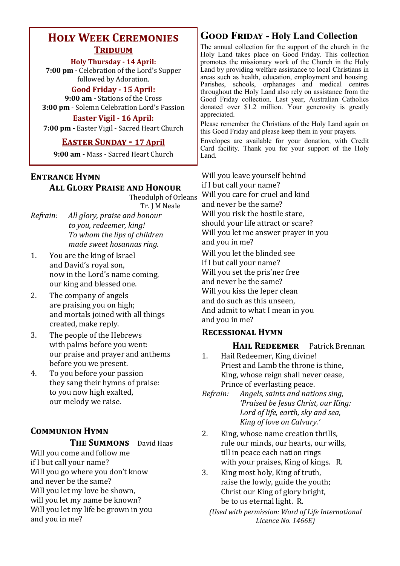# **Holy Week Ceremonies Triduum**

**Holy Thursday - 14 April: 7:00 pm -** Celebration of the Lord's Supper followed by Adoration.

#### **Good Friday - 15 April:**

**9:00 am -** Stations of the Cross **3:00 pm** - Solemn Celebration Lord's Passion

#### **Easter Vigil - 16 April:**

**7:00 pm -** Easter Vigil - Sacred Heart Church

#### **Easter Sunday - 17 April**

**9:00 am -** Mass - Sacred Heart Church

#### **Entrance Hymn All Glory Praise and Honour**

Theodulph of Orleans Tr. J M Neale

- *Refrain: All glory, praise and honour to you, redeemer, king! To whom the lips of children made sweet hosannas ring.*
- 1. You are the king of Israel and David's royal son, now in the Lord's name coming, our king and blessed one.
- 2. The company of angels are praising you on high; and mortals joined with all things created, make reply.
- 3. The people of the Hebrews with palms before you went: our praise and prayer and anthems before you we present.
- 4. To you before your passion they sang their hymns of praise: to you now high exalted, our melody we raise.

#### **Communion Hymn**

#### **THE SUMMONS** David Haas

Will you come and follow me if I but call your name? Will you go where you don't know and never be the same? Will you let my love be shown. will you let my name be known? Will you let my life be grown in you and you in me?

## **Good Friday - Holy Land Collection**

The annual collection for the support of the church in the Holy Land takes place on Good Friday. This collection promotes the missionary work of the Church in the Holy Land by providing welfare assistance to local Christians in areas such as health, education, employment and housing. Parishes, schools, orphanages and medical centres throughout the Holy Land also rely on assistance from the Good Friday collection. Last year, Australian Catholics donated over \$1.2 million. Your generosity is greatly appreciated.

Please remember the Christians of the Holy Land again on this Good Friday and please keep them in your prayers.

Envelopes are available for your donation, with Credit Card facility. Thank you for your support of the Holy Land.

Will you leave yourself behind if I but call your name? Will you care for cruel and kind and never be the same? Will you risk the hostile stare, should your life attract or scare? Will you let me answer prayer in you and you in me? Will you let the blinded see

if I but call your name? Will you set the pris'ner free and never be the same? Will you kiss the leper clean and do such as this unseen, And admit to what I mean in you and you in me?

#### **Recessional Hymn**

**HAIL REDEEMER** Patrick Brennan

- 1. Hail Redeemer, King divine! Priest and Lamb the throne is thine, King, whose reign shall never cease, Prince of everlasting peace.
- *Refrain: Angels, saints and nations sing, 'Praised be Jesus Christ, our King: Lord of life, earth, sky and sea, King of love on Calvary.'*
- 2. King, whose name creation thrills, rule our minds, our hearts, our wills, till in peace each nation rings with your praises, King of kings. R.
- 3. King most holy, King of truth, raise the lowly, guide the youth; Christ our King of glory bright, be to us eternal light. R.
	- *(Used with permission: Word of Life International Licence No. 1466E)*